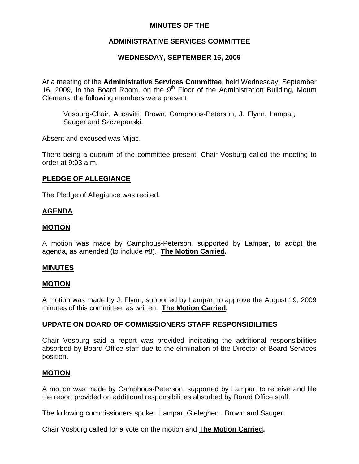## **MINUTES OF THE**

# **ADMINISTRATIVE SERVICES COMMITTEE**

# **WEDNESDAY, SEPTEMBER 16, 2009**

At a meeting of the **Administrative Services Committee**, held Wednesday, September 16, 2009, in the Board Room, on the  $9<sup>th</sup>$  Floor of the Administration Building, Mount Clemens, the following members were present:

Vosburg-Chair, Accavitti, Brown, Camphous-Peterson, J. Flynn, Lampar, Sauger and Szczepanski.

Absent and excused was Mijac.

There being a quorum of the committee present, Chair Vosburg called the meeting to order at 9:03 a.m.

## **PLEDGE OF ALLEGIANCE**

The Pledge of Allegiance was recited.

## **AGENDA**

## **MOTION**

A motion was made by Camphous-Peterson, supported by Lampar, to adopt the agenda, as amended (to include #8). **The Motion Carried.** 

#### **MINUTES**

## **MOTION**

A motion was made by J. Flynn, supported by Lampar, to approve the August 19, 2009 minutes of this committee, as written. **The Motion Carried.** 

## **UPDATE ON BOARD OF COMMISSIONERS STAFF RESPONSIBILITIES**

Chair Vosburg said a report was provided indicating the additional responsibilities absorbed by Board Office staff due to the elimination of the Director of Board Services position.

## **MOTION**

A motion was made by Camphous-Peterson, supported by Lampar, to receive and file the report provided on additional responsibilities absorbed by Board Office staff.

The following commissioners spoke: Lampar, Gieleghem, Brown and Sauger.

Chair Vosburg called for a vote on the motion and **The Motion Carried.**